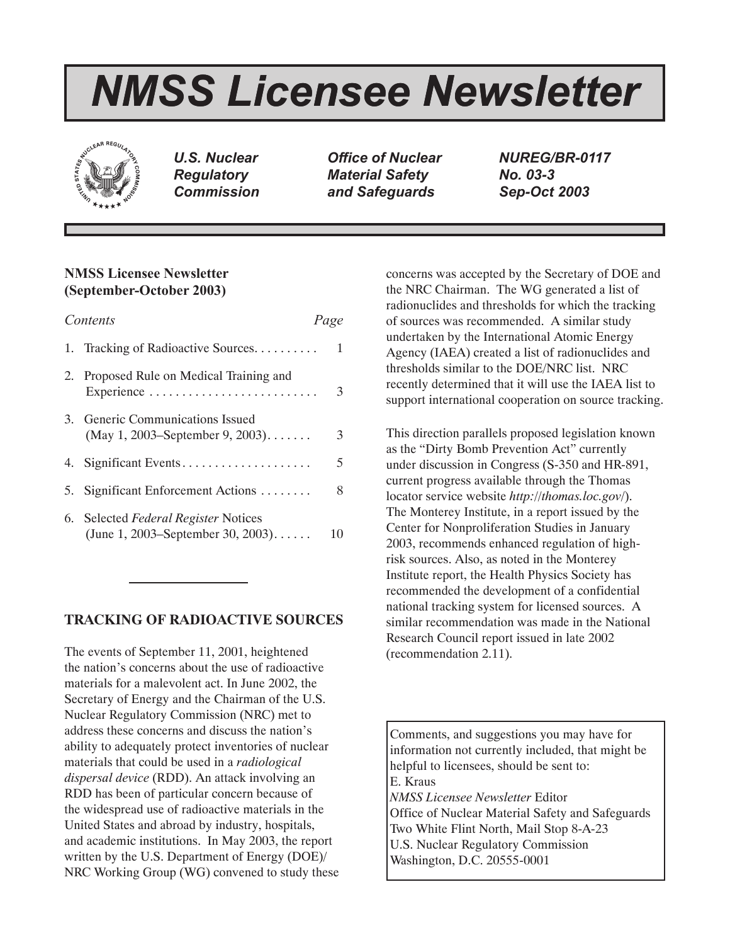# *NMSS Licensee Newsletter*



*U.S. Nuclear Regulatory Commission*

*Office of Nuclear Material Safety and Safeguards*

*NUREG/BR-0117 No. 03-3 Sep-Oct 2003*

# **NMSS Licensee Newsletter (September-October 2003)**

| Contents |                                                                              | Page |
|----------|------------------------------------------------------------------------------|------|
|          | 1. Tracking of Radioactive Sources                                           | 1    |
|          | 2. Proposed Rule on Medical Training and<br>Experience                       | 3    |
|          | 3. Generic Communications Issued<br>(May 1, 2003–September 9, 2003). $\dots$ | 3    |
|          | 4. Significant Events                                                        | 5    |
|          | 5. Significant Enforcement Actions                                           | 8    |
|          | 6. Selected Federal Register Notices<br>(June 1, 2003–September 30, 2003)    | 10   |

# **TRACKING OF RADIOACTIVE SOURCES**

The events of September 11, 2001, heightened the nation's concerns about the use of radioactive materials for a malevolent act. In June 2002, the Secretary of Energy and the Chairman of the U.S. Nuclear Regulatory Commission (NRC) met to address these concerns and discuss the nation's ability to adequately protect inventories of nuclear materials that could be used in a *radiological dispersal device* (RDD). An attack involving an RDD has been of particular concern because of the widespread use of radioactive materials in the United States and abroad by industry, hospitals, and academic institutions. In May 2003, the report written by the U.S. Department of Energy (DOE)/ NRC Working Group (WG) convened to study these concerns was accepted by the Secretary of DOE and the NRC Chairman. The WG generated a list of radionuclides and thresholds for which the tracking of sources was recommended. A similar study undertaken by the International Atomic Energy Agency (IAEA) created a list of radionuclides and thresholds similar to the DOE/NRC list. NRC recently determined that it will use the IAEA list to support international cooperation on source tracking.

This direction parallels proposed legislation known as the "Dirty Bomb Prevention Act" currently under discussion in Congress (S-350 and HR-891, current progress available through the Thomas locator service website *http://thomas.loc.gov/*). The Monterey Institute, in a report issued by the Center for Nonproliferation Studies in January 2003, recommends enhanced regulation of highrisk sources. Also, as noted in the Monterey Institute report, the Health Physics Society has recommended the development of a confidential national tracking system for licensed sources. A similar recommendation was made in the National Research Council report issued in late 2002 (recommendation 2.11).

Comments, and suggestions you may have for information not currently included, that might be helpful to licensees, should be sent to: E. Kraus *NMSS Licensee Newsletter* Editor Office of Nuclear Material Safety and Safeguards Two White Flint North, Mail Stop 8-A-23 U.S. Nuclear Regulatory Commission Washington, D.C. 20555-0001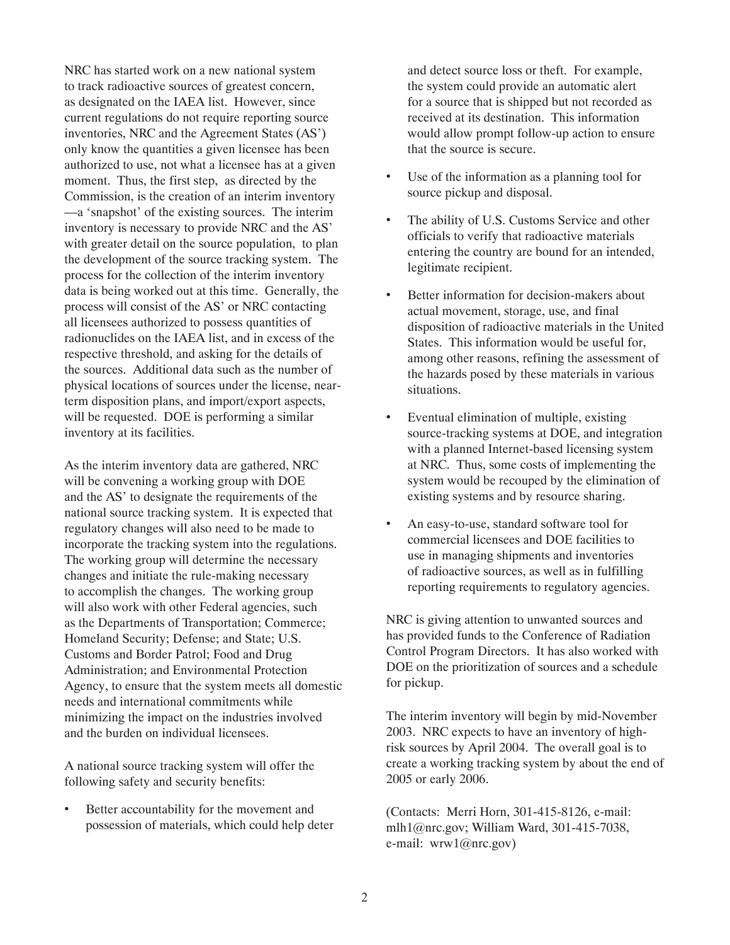NRC has started work on a new national system to track radioactive sources of greatest concern, as designated on the IAEA list. However, since current regulations do not require reporting source inventories, NRC and the Agreement States (AS') only know the quantities a given licensee has been authorized to use, not what a licensee has at a given moment. Thus, the first step, as directed by the Commission, is the creation of an interim inventory —a 'snapshot' of the existing sources. The interim inventory is necessary to provide NRC and the AS' with greater detail on the source population, to plan the development of the source tracking system. The process for the collection of the interim inventory data is being worked out at this time. Generally, the process will consist of the AS' or NRC contacting all licensees authorized to possess quantities of radionuclides on the IAEA list, and in excess of the respective threshold, and asking for the details of the sources. Additional data such as the number of physical locations of sources under the license, nearterm disposition plans, and import/export aspects, will be requested. DOE is performing a similar inventory at its facilities.

As the interim inventory data are gathered, NRC will be convening a working group with DOE and the AS' to designate the requirements of the national source tracking system. It is expected that regulatory changes will also need to be made to incorporate the tracking system into the regulations. The working group will determine the necessary changes and initiate the rule-making necessary to accomplish the changes. The working group will also work with other Federal agencies, such as the Departments of Transportation; Commerce; Homeland Security; Defense; and State; U.S. Customs and Border Patrol; Food and Drug Administration; and Environmental Protection Agency, to ensure that the system meets all domestic needs and international commitments while minimizing the impact on the industries involved and the burden on individual licensees.

A national source tracking system will offer the following safety and security benefits:

Better accountability for the movement and possession of materials, which could help deter

and detect source loss or theft. For example, the system could provide an automatic alert for a source that is shipped but not recorded as received at its destination. This information would allow prompt follow-up action to ensure that the source is secure.

- Use of the information as a planning tool for source pickup and disposal.
- The ability of U.S. Customs Service and other officials to verify that radioactive materials entering the country are bound for an intended, legitimate recipient.
- Better information for decision-makers about actual movement, storage, use, and final disposition of radioactive materials in the United States. This information would be useful for, among other reasons, refining the assessment of the hazards posed by these materials in various situations.
- Eventual elimination of multiple, existing source-tracking systems at DOE, and integration with a planned Internet-based licensing system at NRC. Thus, some costs of implementing the system would be recouped by the elimination of existing systems and by resource sharing.
- An easy-to-use, standard software tool for commercial licensees and DOE facilities to use in managing shipments and inventories of radioactive sources, as well as in fulfilling reporting requirements to regulatory agencies.

NRC is giving attention to unwanted sources and has provided funds to the Conference of Radiation Control Program Directors. It has also worked with DOE on the prioritization of sources and a schedule for pickup.

The interim inventory will begin by mid-November 2003. NRC expects to have an inventory of highrisk sources by April 2004. The overall goal is to create a working tracking system by about the end of 2005 or early 2006.

(Contacts: Merri Horn, 301-415-8126, e-mail: mlh1@nrc.gov; William Ward, 301-415-7038, e-mail: wrw1@nrc.gov)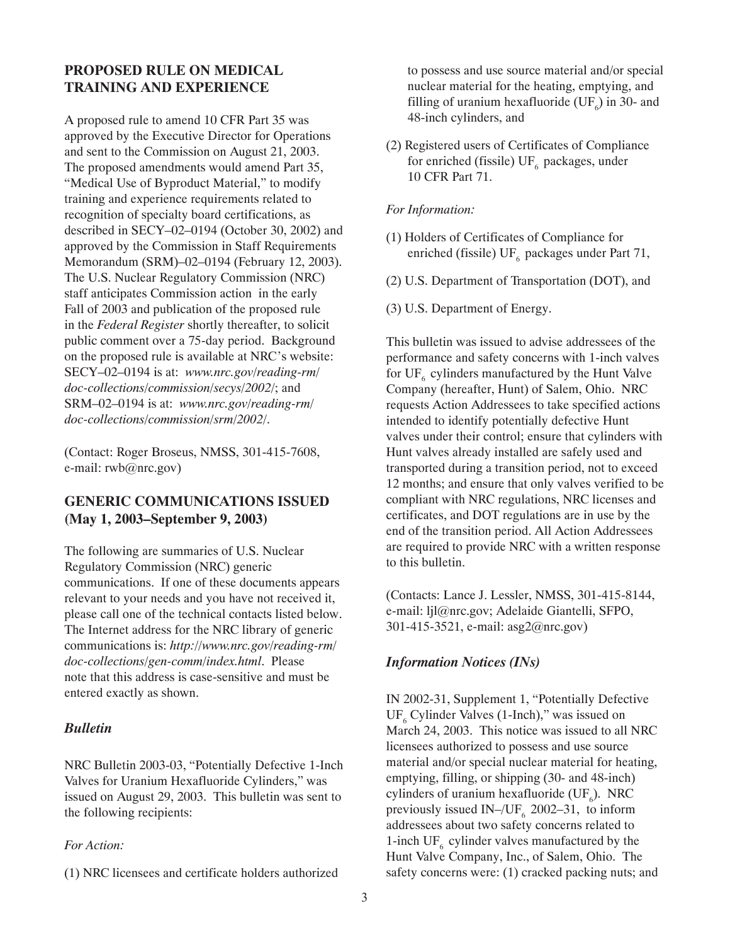# **PROPOSED RULE ON MEDICAL TRAINING AND EXPERIENCE**

A proposed rule to amend 10 CFR Part 35 was approved by the Executive Director for Operations and sent to the Commission on August 21, 2003. The proposed amendments would amend Part 35, "Medical Use of Byproduct Material," to modify training and experience requirements related to recognition of specialty board certifications, as described in SECY–02–0194 (October 30, 2002) and approved by the Commission in Staff Requirements Memorandum (SRM)–02–0194 (February 12, 2003). The U.S. Nuclear Regulatory Commission (NRC) staff anticipates Commission action in the early Fall of 2003 and publication of the proposed rule in the *Federal Register* shortly thereafter, to solicit public comment over a 75-day period. Background on the proposed rule is available at NRC's website: SECY–02–0194 is at: *www.nrc.gov/reading-rm/ doc-collections/commission/secys/2002/*; and SRM–02–0194 is at: *www.nrc.gov/reading-rm/ doc-collections/commission/srm/2002/*.

(Contact: Roger Broseus, NMSS, 301-415-7608, e-mail: rwb@nrc.gov)

# **GENERIC COMMUNICATIONS ISSUED (May 1, 2003–September 9, 2003)**

The following are summaries of U.S. Nuclear Regulatory Commission (NRC) generic communications. If one of these documents appears relevant to your needs and you have not received it, please call one of the technical contacts listed below. The Internet address for the NRC library of generic communications is: *http://www.nrc.gov/reading-rm/ doc-collections/gen-comm/index.html*. Please note that this address is case-sensitive and must be entered exactly as shown.

# *Bulletin*

NRC Bulletin 2003-03, "Potentially Defective 1-Inch Valves for Uranium Hexafluoride Cylinders," was issued on August 29, 2003. This bulletin was sent to the following recipients:

# *For Action:*

(1) NRC licensees and certificate holders authorized

to possess and use source material and/or special nuclear material for the heating, emptying, and filling of uranium hexafluoride ( $UF<sub>6</sub>$ ) in 30- and 48-inch cylinders, and

(2) Registered users of Certificates of Compliance for enriched (fissile)  $UF_{6}$  packages, under 10 CFR Part 71.

# *For Information:*

- (1) Holders of Certificates of Compliance for enriched (fissile) UF<sub>6</sub> packages under Part 71,
- (2) U.S. Department of Transportation (DOT), and
- (3) U.S. Department of Energy.

This bulletin was issued to advise addressees of the performance and safety concerns with 1-inch valves for  $UF<sub>6</sub>$  cylinders manufactured by the Hunt Valve Company (hereafter, Hunt) of Salem, Ohio. NRC requests Action Addressees to take specified actions intended to identify potentially defective Hunt valves under their control; ensure that cylinders with Hunt valves already installed are safely used and transported during a transition period, not to exceed 12 months; and ensure that only valves verified to be compliant with NRC regulations, NRC licenses and certificates, and DOT regulations are in use by the end of the transition period. All Action Addressees are required to provide NRC with a written response to this bulletin.

(Contacts: Lance J. Lessler, NMSS, 301-415-8144, e-mail: ljl@nrc.gov; Adelaide Giantelli, SFPO, 301-415-3521, e-mail: asg2@nrc.gov)

# *Information Notices (INs)*

IN 2002-31, Supplement 1, "Potentially Defective  $UF<sub>6</sub>$  Cylinder Valves (1-Inch)," was issued on March 24, 2003. This notice was issued to all NRC licensees authorized to possess and use source material and/or special nuclear material for heating, emptying, filling, or shipping (30- and 48-inch) cylinders of uranium hexafluoride ( $UF<sub>6</sub>$ ). NRC previously issued IN–/UF<sub>6</sub> 2002–31, to inform addressees about two safety concerns related to 1-inch UF<sub>6</sub> cylinder valves manufactured by the Hunt Valve Company, Inc., of Salem, Ohio. The safety concerns were: (1) cracked packing nuts; and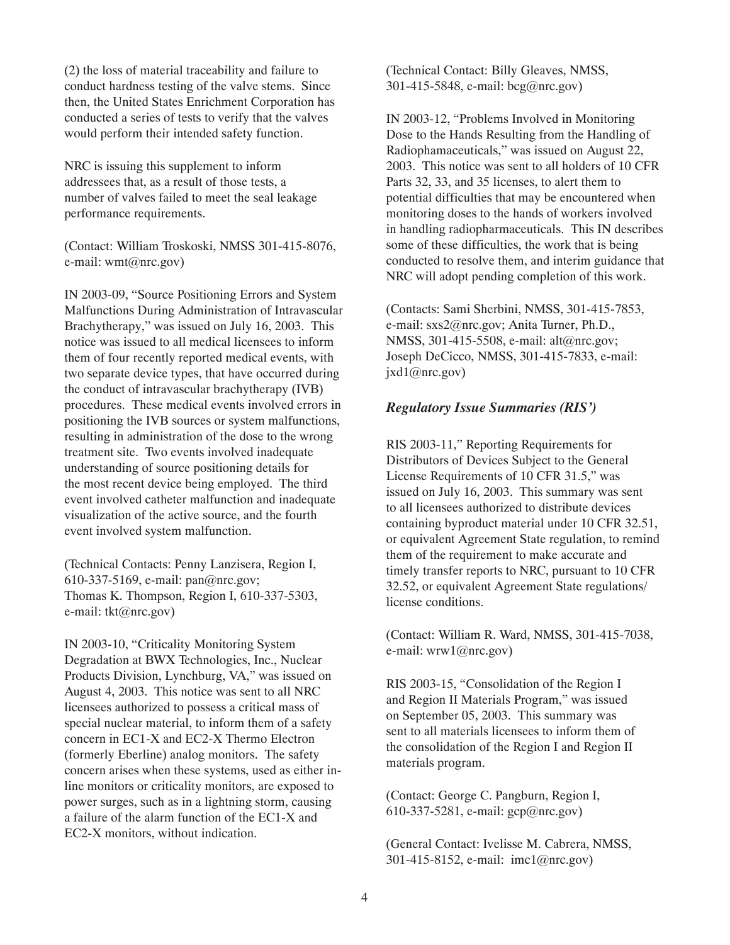(2) the loss of material traceability and failure to conduct hardness testing of the valve stems. Since then, the United States Enrichment Corporation has conducted a series of tests to verify that the valves would perform their intended safety function.

NRC is issuing this supplement to inform addressees that, as a result of those tests, a number of valves failed to meet the seal leakage performance requirements.

(Contact: William Troskoski, NMSS 301-415-8076, e-mail: wmt@nrc.gov)

IN 2003-09, "Source Positioning Errors and System Malfunctions During Administration of Intravascular Brachytherapy," was issued on July 16, 2003. This notice was issued to all medical licensees to inform them of four recently reported medical events, with two separate device types, that have occurred during the conduct of intravascular brachytherapy (IVB) procedures. These medical events involved errors in positioning the IVB sources or system malfunctions, resulting in administration of the dose to the wrong treatment site. Two events involved inadequate understanding of source positioning details for the most recent device being employed. The third event involved catheter malfunction and inadequate visualization of the active source, and the fourth event involved system malfunction.

(Technical Contacts: Penny Lanzisera, Region I, 610-337-5169, e-mail: pan@nrc.gov; Thomas K. Thompson, Region I, 610-337-5303, e-mail: tkt@nrc.gov)

IN 2003-10, "Criticality Monitoring System Degradation at BWX Technologies, Inc., Nuclear Products Division, Lynchburg, VA," was issued on August 4, 2003. This notice was sent to all NRC licensees authorized to possess a critical mass of special nuclear material, to inform them of a safety concern in EC1-X and EC2-X Thermo Electron (formerly Eberline) analog monitors. The safety concern arises when these systems, used as either inline monitors or criticality monitors, are exposed to power surges, such as in a lightning storm, causing a failure of the alarm function of the EC1-X and EC2-X monitors, without indication.

(Technical Contact: Billy Gleaves, NMSS, 301-415-5848, e-mail: bcg@nrc.gov)

IN 2003-12, "Problems Involved in Monitoring Dose to the Hands Resulting from the Handling of Radiophamaceuticals," was issued on August 22, 2003. This notice was sent to all holders of 10 CFR Parts 32, 33, and 35 licenses, to alert them to potential difficulties that may be encountered when monitoring doses to the hands of workers involved in handling radiopharmaceuticals. This IN describes some of these difficulties, the work that is being conducted to resolve them, and interim guidance that NRC will adopt pending completion of this work.

(Contacts: Sami Sherbini, NMSS, 301-415-7853, e-mail: sxs2@nrc.gov; Anita Turner, Ph.D., NMSS, 301-415-5508, e-mail: alt@nrc.gov; Joseph DeCicco, NMSS, 301-415-7833, e-mail:  $jxd1@nrc.gov)$ 

## *Regulatory Issue Summaries (RIS')*

RIS 2003-11," Reporting Requirements for Distributors of Devices Subject to the General License Requirements of 10 CFR 31.5," was issued on July 16, 2003. This summary was sent to all licensees authorized to distribute devices containing byproduct material under 10 CFR 32.51, or equivalent Agreement State regulation, to remind them of the requirement to make accurate and timely transfer reports to NRC, pursuant to 10 CFR 32.52, or equivalent Agreement State regulations/ license conditions.

(Contact: William R. Ward, NMSS, 301-415-7038, e-mail: wrw1@nrc.gov)

RIS 2003-15, "Consolidation of the Region I and Region II Materials Program," was issued on September 05, 2003. This summary was sent to all materials licensees to inform them of the consolidation of the Region I and Region II materials program.

(Contact: George C. Pangburn, Region I, 610-337-5281, e-mail: gcp@nrc.gov)

(General Contact: Ivelisse M. Cabrera, NMSS, 301-415-8152, e-mail: imc1@nrc.gov)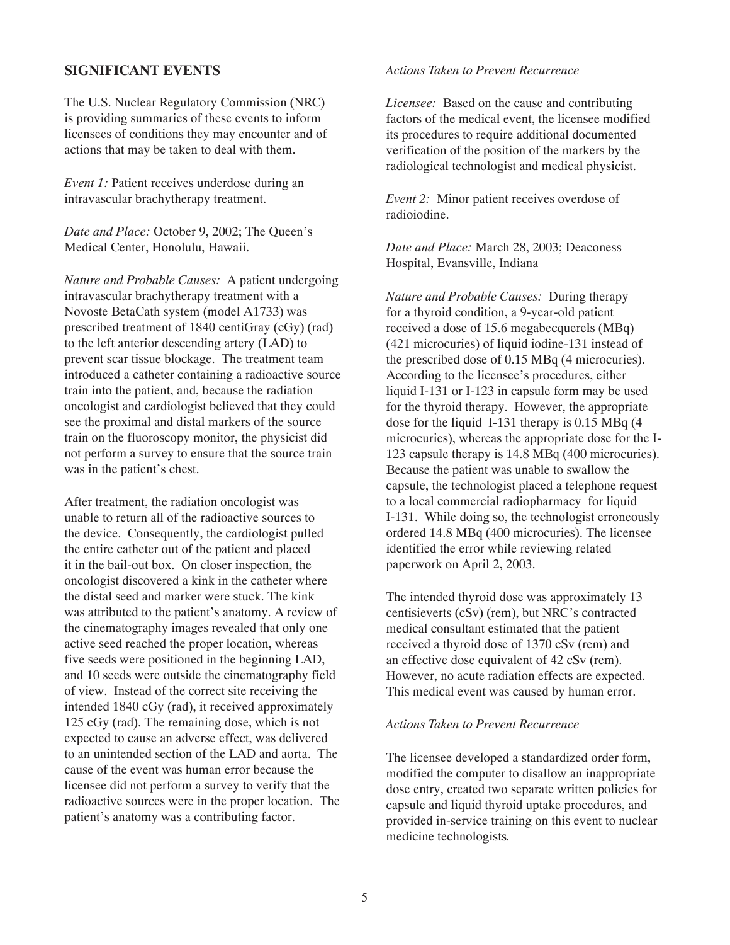#### **SIGNIFICANT EVENTS**

The U.S. Nuclear Regulatory Commission (NRC) is providing summaries of these events to inform licensees of conditions they may encounter and of actions that may be taken to deal with them.

*Event 1:* Patient receives underdose during an intravascular brachytherapy treatment.

*Date and Place:* October 9, 2002; The Queen's Medical Center, Honolulu, Hawaii.

*Nature and Probable Causes:* A patient undergoing intravascular brachytherapy treatment with a Novoste BetaCath system (model A1733) was prescribed treatment of 1840 centiGray (cGy) (rad) to the left anterior descending artery (LAD) to prevent scar tissue blockage. The treatment team introduced a catheter containing a radioactive source train into the patient, and, because the radiation oncologist and cardiologist believed that they could see the proximal and distal markers of the source train on the fluoroscopy monitor, the physicist did not perform a survey to ensure that the source train was in the patient's chest.

After treatment, the radiation oncologist was unable to return all of the radioactive sources to the device. Consequently, the cardiologist pulled the entire catheter out of the patient and placed it in the bail-out box. On closer inspection, the oncologist discovered a kink in the catheter where the distal seed and marker were stuck. The kink was attributed to the patient's anatomy. A review of the cinematography images revealed that only one active seed reached the proper location, whereas five seeds were positioned in the beginning LAD, and 10 seeds were outside the cinematography field of view. Instead of the correct site receiving the intended 1840 cGy (rad), it received approximately 125 cGy (rad). The remaining dose, which is not expected to cause an adverse effect, was delivered to an unintended section of the LAD and aorta. The cause of the event was human error because the licensee did not perform a survey to verify that the radioactive sources were in the proper location. The patient's anatomy was a contributing factor.

#### *Actions Taken to Prevent Recurrence*

*Licensee:* Based on the cause and contributing factors of the medical event, the licensee modified its procedures to require additional documented verification of the position of the markers by the radiological technologist and medical physicist.

*Event 2:* Minor patient receives overdose of radioiodine.

*Date and Place:* March 28, 2003; Deaconess Hospital, Evansville, Indiana

*Nature and Probable Causes:* During therapy for a thyroid condition, a 9-year-old patient received a dose of 15.6 megabecquerels (MBq) (421 microcuries) of liquid iodine-131 instead of the prescribed dose of 0.15 MBq (4 microcuries). According to the licensee's procedures, either liquid I-131 or I-123 in capsule form may be used for the thyroid therapy. However, the appropriate dose for the liquid I-131 therapy is 0.15 MBq (4 microcuries), whereas the appropriate dose for the I-123 capsule therapy is 14.8 MBq (400 microcuries). Because the patient was unable to swallow the capsule, the technologist placed a telephone request to a local commercial radiopharmacy for liquid I-131. While doing so, the technologist erroneously ordered 14.8 MBq (400 microcuries). The licensee identified the error while reviewing related paperwork on April 2, 2003.

The intended thyroid dose was approximately 13 centisieverts (cSv) (rem), but NRC's contracted medical consultant estimated that the patient received a thyroid dose of 1370 cSv (rem) and an effective dose equivalent of 42 cSv (rem). However, no acute radiation effects are expected. This medical event was caused by human error.

#### *Actions Taken to Prevent Recurrence*

The licensee developed a standardized order form, modified the computer to disallow an inappropriate dose entry, created two separate written policies for capsule and liquid thyroid uptake procedures, and provided in-service training on this event to nuclear medicine technologists*.*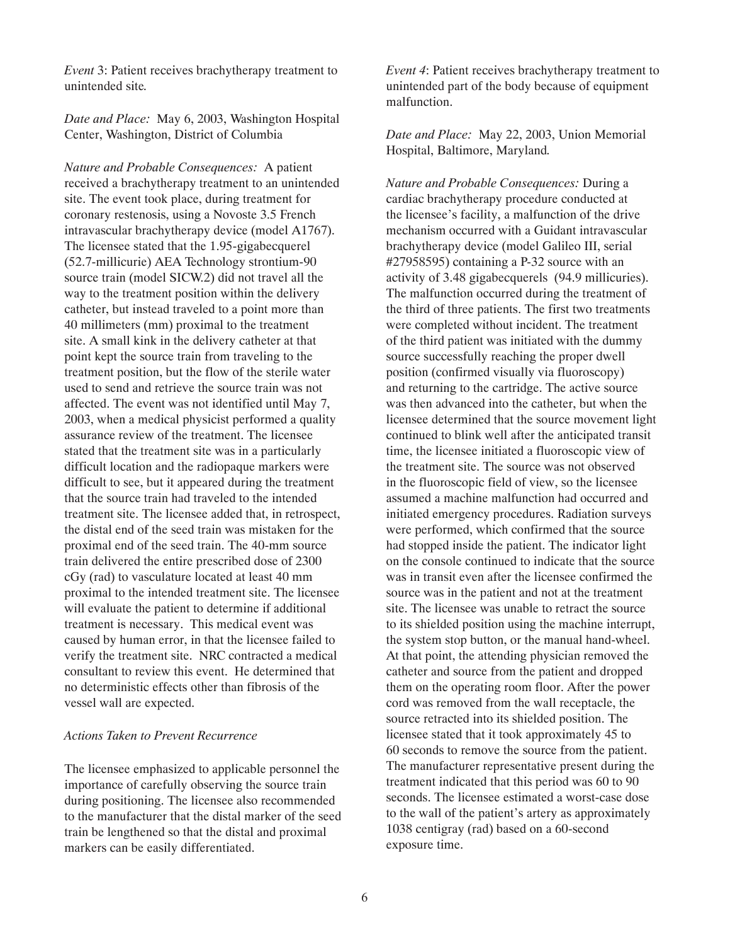*Event* 3: Patient receives brachytherapy treatment to unintended site*.*

*Date and Place:* May 6, 2003, Washington Hospital Center, Washington, District of Columbia

*Nature and Probable Consequences:* A patient received a brachytherapy treatment to an unintended site. The event took place, during treatment for coronary restenosis, using a Novoste 3.5 French intravascular brachytherapy device (model A1767). The licensee stated that the 1.95-gigabecquerel (52.7-millicurie) AEA Technology strontium-90 source train (model SICW.2) did not travel all the way to the treatment position within the delivery catheter, but instead traveled to a point more than 40 millimeters (mm) proximal to the treatment site. A small kink in the delivery catheter at that point kept the source train from traveling to the treatment position, but the flow of the sterile water used to send and retrieve the source train was not affected. The event was not identified until May 7, 2003, when a medical physicist performed a quality assurance review of the treatment. The licensee stated that the treatment site was in a particularly difficult location and the radiopaque markers were difficult to see, but it appeared during the treatment that the source train had traveled to the intended treatment site. The licensee added that, in retrospect, the distal end of the seed train was mistaken for the proximal end of the seed train. The 40-mm source train delivered the entire prescribed dose of 2300 cGy (rad) to vasculature located at least 40 mm proximal to the intended treatment site. The licensee will evaluate the patient to determine if additional treatment is necessary. This medical event was caused by human error, in that the licensee failed to verify the treatment site. NRC contracted a medical consultant to review this event. He determined that no deterministic effects other than fibrosis of the vessel wall are expected.

#### *Actions Taken to Prevent Recurrence*

The licensee emphasized to applicable personnel the importance of carefully observing the source train during positioning. The licensee also recommended to the manufacturer that the distal marker of the seed train be lengthened so that the distal and proximal markers can be easily differentiated.

*Event 4*: Patient receives brachytherapy treatment to unintended part of the body because of equipment malfunction.

*Date and Place:* May 22, 2003, Union Memorial Hospital, Baltimore, Maryland*.*

*Nature and Probable Consequences:* During a cardiac brachytherapy procedure conducted at the licensee's facility, a malfunction of the drive mechanism occurred with a Guidant intravascular brachytherapy device (model Galileo III, serial #27958595) containing a P-32 source with an activity of 3.48 gigabecquerels (94.9 millicuries). The malfunction occurred during the treatment of the third of three patients. The first two treatments were completed without incident. The treatment of the third patient was initiated with the dummy source successfully reaching the proper dwell position (confirmed visually via fluoroscopy) and returning to the cartridge. The active source was then advanced into the catheter, but when the licensee determined that the source movement light continued to blink well after the anticipated transit time, the licensee initiated a fluoroscopic view of the treatment site. The source was not observed in the fluoroscopic field of view, so the licensee assumed a machine malfunction had occurred and initiated emergency procedures. Radiation surveys were performed, which confirmed that the source had stopped inside the patient. The indicator light on the console continued to indicate that the source was in transit even after the licensee confirmed the source was in the patient and not at the treatment site. The licensee was unable to retract the source to its shielded position using the machine interrupt, the system stop button, or the manual hand-wheel. At that point, the attending physician removed the catheter and source from the patient and dropped them on the operating room floor. After the power cord was removed from the wall receptacle, the source retracted into its shielded position. The licensee stated that it took approximately 45 to 60 seconds to remove the source from the patient. The manufacturer representative present during the treatment indicated that this period was 60 to 90 seconds. The licensee estimated a worst-case dose to the wall of the patient's artery as approximately 1038 centigray (rad) based on a 60-second exposure time.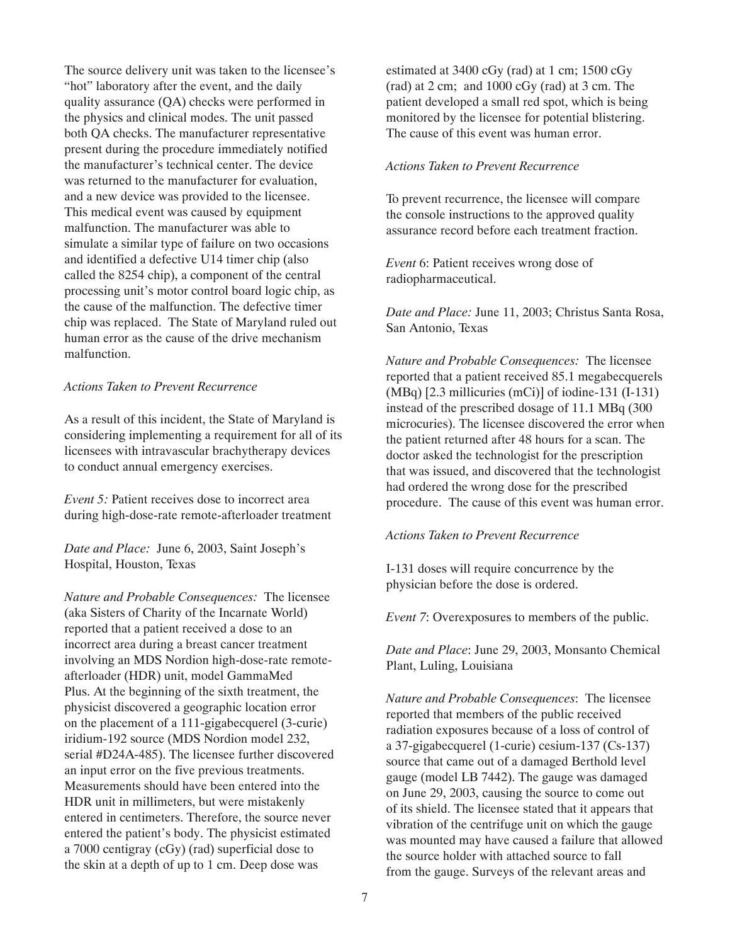The source delivery unit was taken to the licensee's "hot" laboratory after the event, and the daily quality assurance (QA) checks were performed in the physics and clinical modes. The unit passed both QA checks. The manufacturer representative present during the procedure immediately notified the manufacturer's technical center. The device was returned to the manufacturer for evaluation. and a new device was provided to the licensee. This medical event was caused by equipment malfunction. The manufacturer was able to simulate a similar type of failure on two occasions and identified a defective U14 timer chip (also called the 8254 chip), a component of the central processing unit's motor control board logic chip, as the cause of the malfunction. The defective timer chip was replaced. The State of Maryland ruled out human error as the cause of the drive mechanism malfunction.

#### *Actions Taken to Prevent Recurrence*

As a result of this incident, the State of Maryland is considering implementing a requirement for all of its licensees with intravascular brachytherapy devices to conduct annual emergency exercises.

*Event 5:* Patient receives dose to incorrect area during high-dose-rate remote-afterloader treatment

*Date and Place:* June 6, 2003, Saint Joseph's Hospital, Houston, Texas

*Nature and Probable Consequences:* The licensee (aka Sisters of Charity of the Incarnate World) reported that a patient received a dose to an incorrect area during a breast cancer treatment involving an MDS Nordion high-dose-rate remoteafterloader (HDR) unit, model GammaMed Plus. At the beginning of the sixth treatment, the physicist discovered a geographic location error on the placement of a 111-gigabecquerel (3-curie) iridium-192 source (MDS Nordion model 232, serial #D24A-485). The licensee further discovered an input error on the five previous treatments. Measurements should have been entered into the HDR unit in millimeters, but were mistakenly entered in centimeters. Therefore, the source never entered the patient's body. The physicist estimated a 7000 centigray (cGy) (rad) superficial dose to the skin at a depth of up to 1 cm. Deep dose was

estimated at 3400 cGy (rad) at 1 cm; 1500 cGy  $(rad)$  at 2 cm; and 1000 cGy  $(rad)$  at 3 cm. The patient developed a small red spot, which is being monitored by the licensee for potential blistering. The cause of this event was human error.

#### *Actions Taken to Prevent Recurrence*

To prevent recurrence, the licensee will compare the console instructions to the approved quality assurance record before each treatment fraction.

*Event* 6: Patient receives wrong dose of radiopharmaceutical.

*Date and Place:* June 11, 2003; Christus Santa Rosa, San Antonio, Texas

*Nature and Probable Consequences:* The licensee reported that a patient received 85.1 megabecquerels (MBq) [2.3 millicuries (mCi)] of iodine-131 (I-131) instead of the prescribed dosage of 11.1 MBq (300 microcuries). The licensee discovered the error when the patient returned after 48 hours for a scan. The doctor asked the technologist for the prescription that was issued, and discovered that the technologist had ordered the wrong dose for the prescribed procedure. The cause of this event was human error.

#### *Actions Taken to Prevent Recurrence*

I-131 doses will require concurrence by the physician before the dose is ordered.

*Event 7*: Overexposures to members of the public.

*Date and Place*: June 29, 2003, Monsanto Chemical Plant, Luling, Louisiana

*Nature and Probable Consequences*: The licensee reported that members of the public received radiation exposures because of a loss of control of a 37-gigabecquerel (1-curie) cesium-137 (Cs-137) source that came out of a damaged Berthold level gauge (model LB 7442). The gauge was damaged on June 29, 2003, causing the source to come out of its shield. The licensee stated that it appears that vibration of the centrifuge unit on which the gauge was mounted may have caused a failure that allowed the source holder with attached source to fall from the gauge. Surveys of the relevant areas and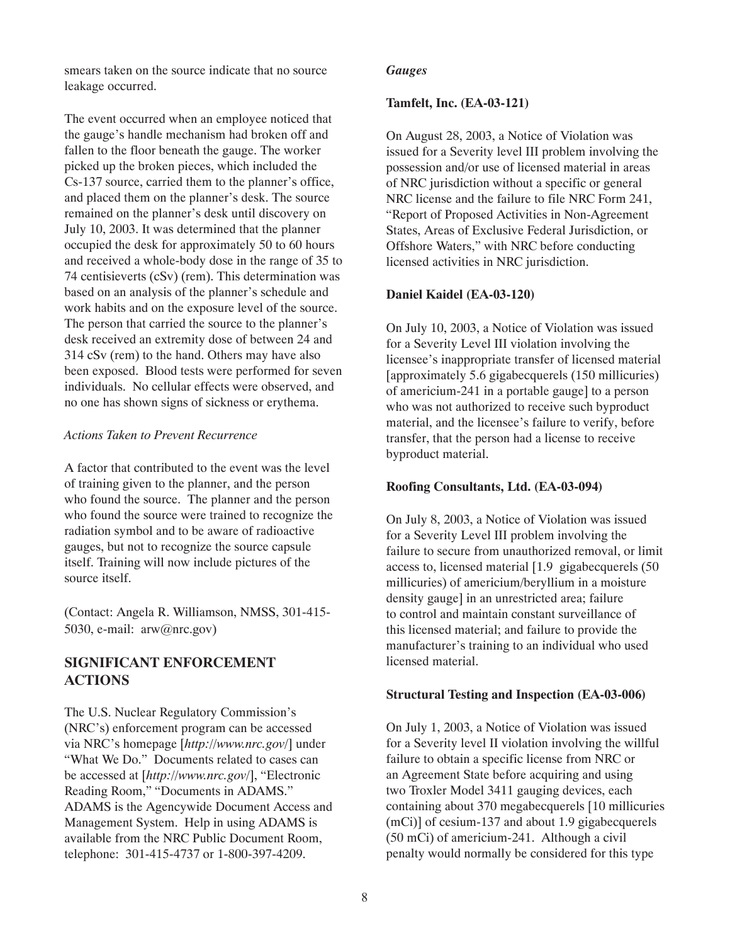smears taken on the source indicate that no source leakage occurred.

The event occurred when an employee noticed that the gauge's handle mechanism had broken off and fallen to the floor beneath the gauge. The worker picked up the broken pieces, which included the Cs-137 source, carried them to the planner's office, and placed them on the planner's desk. The source remained on the planner's desk until discovery on July 10, 2003. It was determined that the planner occupied the desk for approximately 50 to 60 hours and received a whole-body dose in the range of 35 to 74 centisieverts (cSv) (rem). This determination was based on an analysis of the planner's schedule and work habits and on the exposure level of the source. The person that carried the source to the planner's desk received an extremity dose of between 24 and 314 cSv (rem) to the hand. Others may have also been exposed. Blood tests were performed for seven individuals. No cellular effects were observed, and no one has shown signs of sickness or erythema.

#### *Actions Taken to Prevent Recurrence*

A factor that contributed to the event was the level of training given to the planner, and the person who found the source. The planner and the person who found the source were trained to recognize the radiation symbol and to be aware of radioactive gauges, but not to recognize the source capsule itself. Training will now include pictures of the source itself.

(Contact: Angela R. Williamson, NMSS, 301-415- 5030, e-mail: arw@nrc.gov)

# **SIGNIFICANT ENFORCEMENT ACTIONS**

The U.S. Nuclear Regulatory Commission's (NRC's) enforcement program can be accessed via NRC's homepage [*http://www.nrc.gov/*] under "What We Do." Documents related to cases can be accessed at [*http://www.nrc.gov/*], "Electronic Reading Room," "Documents in ADAMS." ADAMS is the Agencywide Document Access and Management System. Help in using ADAMS is available from the NRC Public Document Room, telephone: 301-415-4737 or 1-800-397-4209.

#### *Gauges*

#### **Tamfelt, Inc. (EA-03-121)**

On August 28, 2003, a Notice of Violation was issued for a Severity level III problem involving the possession and/or use of licensed material in areas of NRC jurisdiction without a specific or general NRC license and the failure to file NRC Form 241, "Report of Proposed Activities in Non-Agreement States, Areas of Exclusive Federal Jurisdiction, or Offshore Waters," with NRC before conducting licensed activities in NRC jurisdiction.

#### **Daniel Kaidel (EA-03-120)**

On July 10, 2003, a Notice of Violation was issued for a Severity Level III violation involving the licensee's inappropriate transfer of licensed material [approximately 5.6 gigabecquerels (150 millicuries) of americium-241 in a portable gauge] to a person who was not authorized to receive such byproduct material, and the licensee's failure to verify, before transfer, that the person had a license to receive byproduct material.

#### **Roofing Consultants, Ltd. (EA-03-094)**

On July 8, 2003, a Notice of Violation was issued for a Severity Level III problem involving the failure to secure from unauthorized removal, or limit access to, licensed material [1.9 gigabecquerels (50 millicuries) of americium/beryllium in a moisture density gauge] in an unrestricted area; failure to control and maintain constant surveillance of this licensed material; and failure to provide the manufacturer's training to an individual who used licensed material.

#### **Structural Testing and Inspection (EA-03-006)**

On July 1, 2003, a Notice of Violation was issued for a Severity level II violation involving the willful failure to obtain a specific license from NRC or an Agreement State before acquiring and using two Troxler Model 3411 gauging devices, each containing about 370 megabecquerels [10 millicuries (mCi)] of cesium-137 and about 1.9 gigabecquerels (50 mCi) of americium-241. Although a civil penalty would normally be considered for this type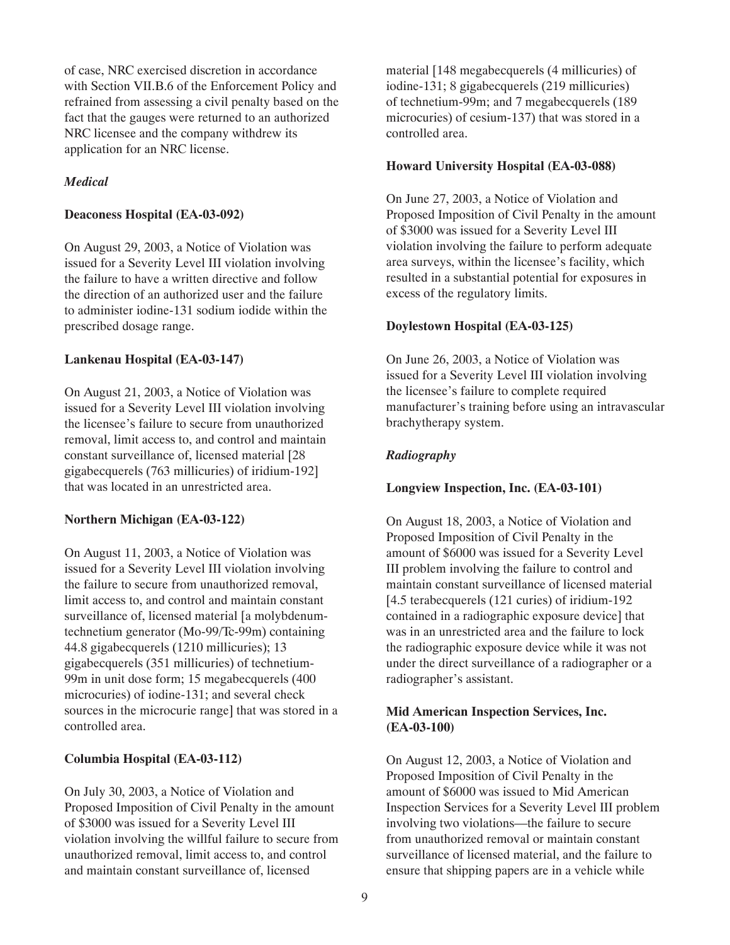of case, NRC exercised discretion in accordance with Section VII.B.6 of the Enforcement Policy and refrained from assessing a civil penalty based on the fact that the gauges were returned to an authorized NRC licensee and the company withdrew its application for an NRC license.

## *Medical*

#### **Deaconess Hospital (EA-03-092)**

On August 29, 2003, a Notice of Violation was issued for a Severity Level III violation involving the failure to have a written directive and follow the direction of an authorized user and the failure to administer iodine-131 sodium iodide within the prescribed dosage range.

#### **Lankenau Hospital (EA-03-147)**

On August 21, 2003, a Notice of Violation was issued for a Severity Level III violation involving the licensee's failure to secure from unauthorized removal, limit access to, and control and maintain constant surveillance of, licensed material [28 gigabecquerels (763 millicuries) of iridium-192] that was located in an unrestricted area.

#### **Northern Michigan (EA-03-122)**

On August 11, 2003, a Notice of Violation was issued for a Severity Level III violation involving the failure to secure from unauthorized removal, limit access to, and control and maintain constant surveillance of, licensed material [a molybdenumtechnetium generator (Mo-99/Tc-99m) containing 44.8 gigabecquerels (1210 millicuries); 13 gigabecquerels (351 millicuries) of technetium-99m in unit dose form; 15 megabecquerels (400 microcuries) of iodine-131; and several check sources in the microcurie range] that was stored in a controlled area.

## **Columbia Hospital (EA-03-112)**

On July 30, 2003, a Notice of Violation and Proposed Imposition of Civil Penalty in the amount of \$3000 was issued for a Severity Level III violation involving the willful failure to secure from unauthorized removal, limit access to, and control and maintain constant surveillance of, licensed

material [148 megabecquerels (4 millicuries) of iodine-131; 8 gigabecquerels (219 millicuries) of technetium-99m; and 7 megabecquerels (189 microcuries) of cesium-137) that was stored in a controlled area.

#### **Howard University Hospital (EA-03-088)**

On June 27, 2003, a Notice of Violation and Proposed Imposition of Civil Penalty in the amount of \$3000 was issued for a Severity Level III violation involving the failure to perform adequate area surveys, within the licensee's facility, which resulted in a substantial potential for exposures in excess of the regulatory limits.

## **Doylestown Hospital (EA-03-125)**

On June 26, 2003, a Notice of Violation was issued for a Severity Level III violation involving the licensee's failure to complete required manufacturer's training before using an intravascular brachytherapy system.

## *Radiography*

#### **Longview Inspection, Inc. (EA-03-101)**

On August 18, 2003, a Notice of Violation and Proposed Imposition of Civil Penalty in the amount of \$6000 was issued for a Severity Level III problem involving the failure to control and maintain constant surveillance of licensed material [4.5 terabecquerels (121 curies) of iridium-192 contained in a radiographic exposure device] that was in an unrestricted area and the failure to lock the radiographic exposure device while it was not under the direct surveillance of a radiographer or a radiographer's assistant.

## **Mid American Inspection Services, Inc. (EA-03-100)**

On August 12, 2003, a Notice of Violation and Proposed Imposition of Civil Penalty in the amount of \$6000 was issued to Mid American Inspection Services for a Severity Level III problem involving two violations—the failure to secure from unauthorized removal or maintain constant surveillance of licensed material, and the failure to ensure that shipping papers are in a vehicle while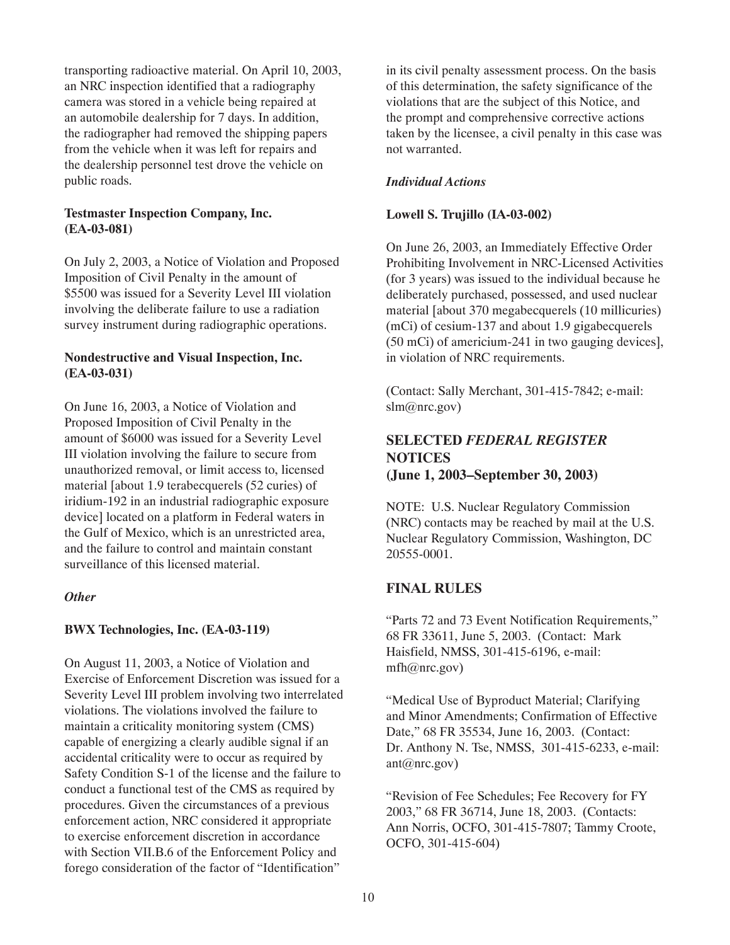transporting radioactive material. On April 10, 2003, an NRC inspection identified that a radiography camera was stored in a vehicle being repaired at an automobile dealership for 7 days. In addition, the radiographer had removed the shipping papers from the vehicle when it was left for repairs and the dealership personnel test drove the vehicle on public roads.

## **Testmaster Inspection Company, Inc. (EA-03-081)**

On July 2, 2003, a Notice of Violation and Proposed Imposition of Civil Penalty in the amount of \$5500 was issued for a Severity Level III violation involving the deliberate failure to use a radiation survey instrument during radiographic operations.

## **Nondestructive and Visual Inspection, Inc. (EA-03-031)**

On June 16, 2003, a Notice of Violation and Proposed Imposition of Civil Penalty in the amount of \$6000 was issued for a Severity Level III violation involving the failure to secure from unauthorized removal, or limit access to, licensed material [about 1.9 terabecquerels (52 curies) of iridium-192 in an industrial radiographic exposure device] located on a platform in Federal waters in the Gulf of Mexico, which is an unrestricted area, and the failure to control and maintain constant surveillance of this licensed material.

#### *Other*

## **BWX Technologies, Inc. (EA-03-119)**

On August 11, 2003, a Notice of Violation and Exercise of Enforcement Discretion was issued for a Severity Level III problem involving two interrelated violations. The violations involved the failure to maintain a criticality monitoring system (CMS) capable of energizing a clearly audible signal if an accidental criticality were to occur as required by Safety Condition S-1 of the license and the failure to conduct a functional test of the CMS as required by procedures. Given the circumstances of a previous enforcement action, NRC considered it appropriate to exercise enforcement discretion in accordance with Section VII.B.6 of the Enforcement Policy and forego consideration of the factor of "Identification"

in its civil penalty assessment process. On the basis of this determination, the safety significance of the violations that are the subject of this Notice, and the prompt and comprehensive corrective actions taken by the licensee, a civil penalty in this case was not warranted.

## *Individual Actions*

#### **Lowell S. Trujillo (IA-03-002)**

On June 26, 2003, an Immediately Effective Order Prohibiting Involvement in NRC-Licensed Activities (for 3 years) was issued to the individual because he deliberately purchased, possessed, and used nuclear material [about 370 megabecquerels (10 millicuries) (mCi) of cesium-137 and about 1.9 gigabecquerels (50 mCi) of americium-241 in two gauging devices], in violation of NRC requirements.

(Contact: Sally Merchant, 301-415-7842; e-mail: slm@nrc.gov)

# **SELECTED** *FEDERAL REGISTER* **NOTICES (June 1, 2003–September 30, 2003)**

NOTE: U.S. Nuclear Regulatory Commission (NRC) contacts may be reached by mail at the U.S. Nuclear Regulatory Commission, Washington, DC 20555-0001.

## **FINAL RULES**

"Parts 72 and 73 Event Notification Requirements," 68 FR 33611, June 5, 2003. (Contact: Mark Haisfield, NMSS, 301-415-6196, e-mail:  $mfh@nrc.gov)$ 

"Medical Use of Byproduct Material; Clarifying and Minor Amendments; Confirmation of Effective Date," 68 FR 35534, June 16, 2003. (Contact: Dr. Anthony N. Tse, NMSS, 301-415-6233, e-mail: ant@nrc.gov)

"Revision of Fee Schedules; Fee Recovery for FY 2003," 68 FR 36714, June 18, 2003. (Contacts: Ann Norris, OCFO, 301-415-7807; Tammy Croote, OCFO, 301-415-604)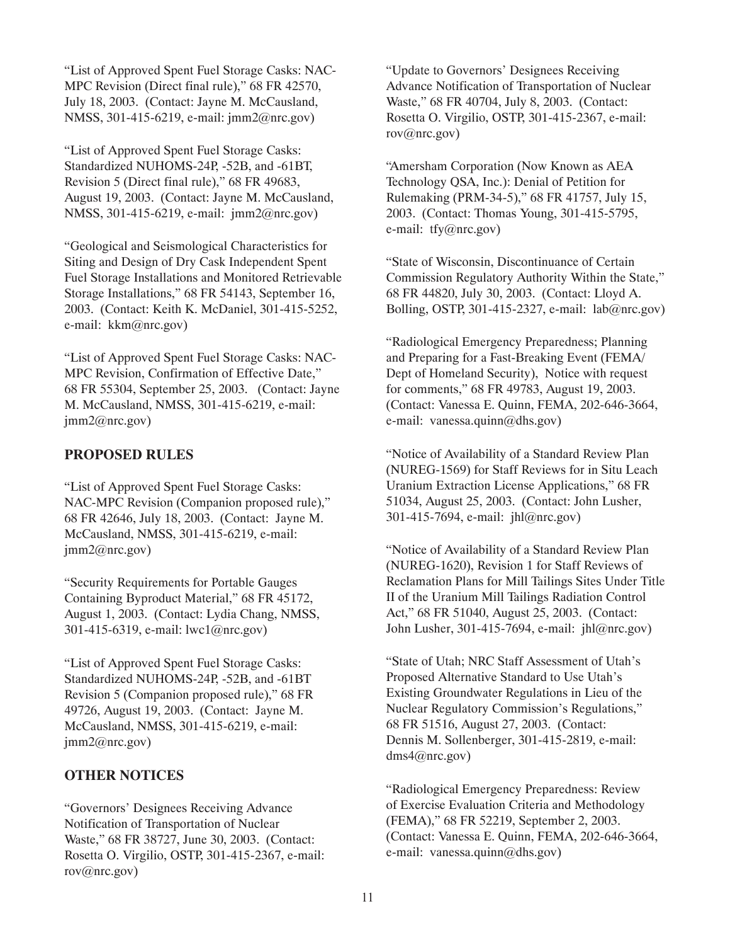"List of Approved Spent Fuel Storage Casks: NAC-MPC Revision (Direct final rule)," 68 FR 42570, July 18, 2003. (Contact: Jayne M. McCausland, NMSS, 301-415-6219, e-mail: jmm2@nrc.gov)

"List of Approved Spent Fuel Storage Casks: Standardized NUHOMS-24P, -52B, and -61BT, Revision 5 (Direct final rule)," 68 FR 49683, August 19, 2003. (Contact: Jayne M. McCausland, NMSS, 301-415-6219, e-mail: jmm2@nrc.gov)

"Geological and Seismological Characteristics for Siting and Design of Dry Cask Independent Spent Fuel Storage Installations and Monitored Retrievable Storage Installations," 68 FR 54143, September 16, 2003. (Contact: Keith K. McDaniel, 301-415-5252, e-mail: kkm@nrc.gov)

"List of Approved Spent Fuel Storage Casks: NAC-MPC Revision, Confirmation of Effective Date," 68 FR 55304, September 25, 2003. (Contact: Jayne M. McCausland, NMSS, 301-415-6219, e-mail: jmm2@nrc.gov)

# **PROPOSED RULES**

"List of Approved Spent Fuel Storage Casks: NAC-MPC Revision (Companion proposed rule)," 68 FR 42646, July 18, 2003. (Contact: Jayne M. McCausland, NMSS, 301-415-6219, e-mail: jmm2@nrc.gov)

"Security Requirements for Portable Gauges Containing Byproduct Material," 68 FR 45172, August 1, 2003. (Contact: Lydia Chang, NMSS, 301-415-6319, e-mail: lwc1@nrc.gov)

"List of Approved Spent Fuel Storage Casks: Standardized NUHOMS-24P, -52B, and -61BT Revision 5 (Companion proposed rule)," 68 FR 49726, August 19, 2003. (Contact: Jayne M. McCausland, NMSS, 301-415-6219, e-mail: jmm2@nrc.gov)

# **OTHER NOTICES**

"Governors' Designees Receiving Advance Notification of Transportation of Nuclear Waste," 68 FR 38727, June 30, 2003. (Contact: Rosetta O. Virgilio, OSTP, 301-415-2367, e-mail: rov@nrc.gov)

"Update to Governors' Designees Receiving Advance Notification of Transportation of Nuclear Waste," 68 FR 40704, July 8, 2003. (Contact: Rosetta O. Virgilio, OSTP, 301-415-2367, e-mail: rov@nrc.gov)

"Amersham Corporation (Now Known as AEA Technology QSA, Inc.): Denial of Petition for Rulemaking (PRM-34-5)," 68 FR 41757, July 15, 2003. (Contact: Thomas Young, 301-415-5795, e-mail: tfy@nrc.gov)

"State of Wisconsin, Discontinuance of Certain Commission Regulatory Authority Within the State," 68 FR 44820, July 30, 2003. (Contact: Lloyd A. Bolling, OSTP, 301-415-2327, e-mail: lab@nrc.gov)

"Radiological Emergency Preparedness; Planning and Preparing for a Fast-Breaking Event (FEMA/ Dept of Homeland Security), Notice with request for comments," 68 FR 49783, August 19, 2003. (Contact: Vanessa E. Quinn, FEMA, 202-646-3664, e-mail: vanessa.quinn@dhs.gov)

"Notice of Availability of a Standard Review Plan (NUREG-1569) for Staff Reviews for in Situ Leach Uranium Extraction License Applications," 68 FR 51034, August 25, 2003. (Contact: John Lusher, 301-415-7694, e-mail: jhl@nrc.gov)

"Notice of Availability of a Standard Review Plan (NUREG-1620), Revision 1 for Staff Reviews of Reclamation Plans for Mill Tailings Sites Under Title II of the Uranium Mill Tailings Radiation Control Act," 68 FR 51040, August 25, 2003. (Contact: John Lusher, 301-415-7694, e-mail: jhl@nrc.gov)

"State of Utah; NRC Staff Assessment of Utah's Proposed Alternative Standard to Use Utah's Existing Groundwater Regulations in Lieu of the Nuclear Regulatory Commission's Regulations," 68 FR 51516, August 27, 2003. (Contact: Dennis M. Sollenberger, 301-415-2819, e-mail: dms4@nrc.gov)

"Radiological Emergency Preparedness: Review of Exercise Evaluation Criteria and Methodology (FEMA)," 68 FR 52219, September 2, 2003. (Contact: Vanessa E. Quinn, FEMA, 202-646-3664, e-mail: vanessa.quinn@dhs.gov)